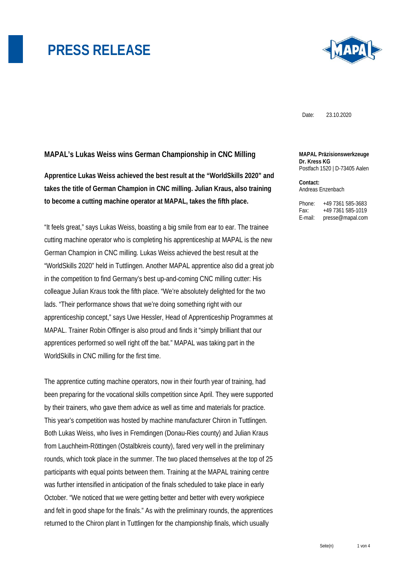

Date: 23.10.2020

### **MAPAL's Lukas Weiss wins German Championship in CNC Milling**

**Apprentice Lukas Weiss achieved the best result at the "WorldSkills 2020" and takes the title of German Champion in CNC milling. Julian Kraus, also training to become a cutting machine operator at MAPAL, takes the fifth place.** 

"It feels great," says Lukas Weiss, boasting a big smile from ear to ear. The trainee cutting machine operator who is completing his apprenticeship at MAPAL is the new German Champion in CNC milling. Lukas Weiss achieved the best result at the "WorldSkills 2020" held in Tuttlingen. Another MAPAL apprentice also did a great job in the competition to find Germany's best up-and-coming CNC milling cutter: His colleague Julian Kraus took the fifth place. "We're absolutely delighted for the two lads. "Their performance shows that we're doing something right with our apprenticeship concept," says Uwe Hessler, Head of Apprenticeship Programmes at MAPAL. Trainer Robin Offinger is also proud and finds it "simply brilliant that our apprentices performed so well right off the bat." MAPAL was taking part in the WorldSkills in CNC milling for the first time.

The apprentice cutting machine operators, now in their fourth year of training, had been preparing for the vocational skills competition since April. They were supported by their trainers, who gave them advice as well as time and materials for practice. This year's competition was hosted by machine manufacturer Chiron in Tuttlingen. Both Lukas Weiss, who lives in Fremdingen (Donau-Ries county) and Julian Kraus from Lauchheim-Röttingen (Ostalbkreis county), fared very well in the preliminary rounds, which took place in the summer. The two placed themselves at the top of 25 participants with equal points between them. Training at the MAPAL training centre was further intensified in anticipation of the finals scheduled to take place in early October. "We noticed that we were getting better and better with every workpiece and felt in good shape for the finals." As with the preliminary rounds, the apprentices returned to the Chiron plant in Tuttlingen for the championship finals, which usually

#### **MAPAL Präzisionswerkzeuge Dr. Kress KG**  Postfach 1520 | D-73405 Aalen

**Contact:**  Andreas Enzenbach

Phone: +49 7361 585-3683 Fax: +49 7361 585-1019 E-mail: presse@mapal.com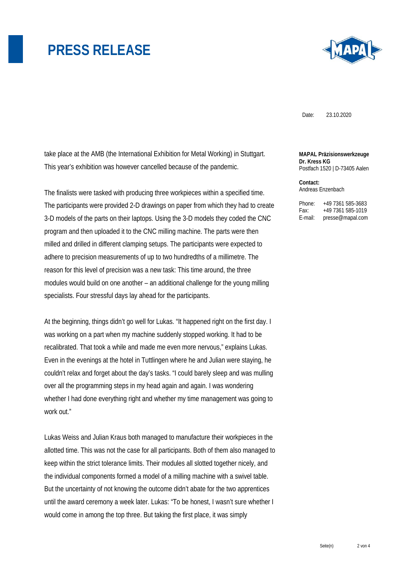

Date: 23.10.2020

take place at the AMB (the International Exhibition for Metal Working) in Stuttgart. This year's exhibition was however cancelled because of the pandemic.

The finalists were tasked with producing three workpieces within a specified time. The participants were provided 2-D drawings on paper from which they had to create 3-D models of the parts on their laptops. Using the 3-D models they coded the CNC program and then uploaded it to the CNC milling machine. The parts were then milled and drilled in different clamping setups. The participants were expected to adhere to precision measurements of up to two hundredths of a millimetre. The reason for this level of precision was a new task: This time around, the three modules would build on one another – an additional challenge for the young milling specialists. Four stressful days lay ahead for the participants.

At the beginning, things didn't go well for Lukas. "It happened right on the first day. I was working on a part when my machine suddenly stopped working. It had to be recalibrated. That took a while and made me even more nervous," explains Lukas. Even in the evenings at the hotel in Tuttlingen where he and Julian were staying, he couldn't relax and forget about the day's tasks. "I could barely sleep and was mulling over all the programming steps in my head again and again. I was wondering whether I had done everything right and whether my time management was going to work out."

Lukas Weiss and Julian Kraus both managed to manufacture their workpieces in the allotted time. This was not the case for all participants. Both of them also managed to keep within the strict tolerance limits. Their modules all slotted together nicely, and the individual components formed a model of a milling machine with a swivel table. But the uncertainty of not knowing the outcome didn't abate for the two apprentices until the award ceremony a week later. Lukas: "To be honest, I wasn't sure whether I would come in among the top three. But taking the first place, it was simply

**MAPAL Präzisionswerkzeuge Dr. Kress KG**  Postfach 1520 | D-73405 Aalen

**Contact:**  Andreas Enzenbach

Phone: +49 7361 585-3683 Fax: +49 7361 585-1019 E-mail: presse@mapal.com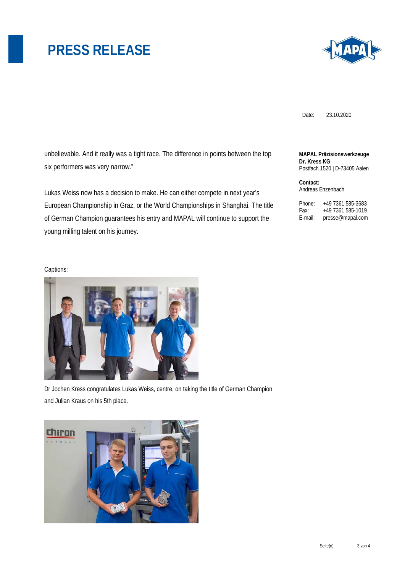

Date: 23.10.2020

unbelievable. And it really was a tight race. The difference in points between the top six performers was very narrow."

Lukas Weiss now has a decision to make. He can either compete in next year's European Championship in Graz, or the World Championships in Shanghai. The title of German Champion guarantees his entry and MAPAL will continue to support the young milling talent on his journey.

#### **MAPAL Präzisionswerkzeuge Dr. Kress KG**  Postfach 1520 | D-73405 Aalen

**Contact:**  Andreas Enzenbach

Phone: +49 7361 585-3683 Fax: +49 7361 585-1019 E-mail: presse@mapal.com

#### Captions:



Dr Jochen Kress congratulates Lukas Weiss, centre, on taking the title of German Champion and Julian Kraus on his 5th place.